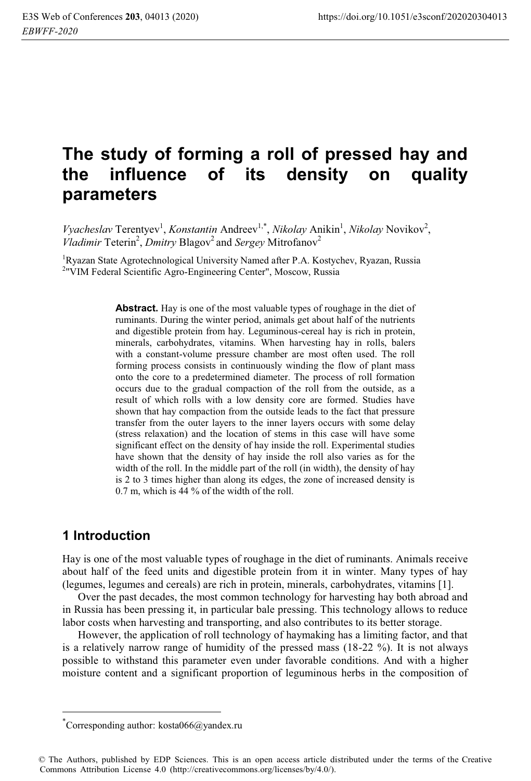# **The study of forming a roll of pressed hay and the influence of its density on quality parameters**

Vyacheslav Terentyev<sup>1</sup>, *Konstantin* Andreev<sup>1,\*</sup>, *Nikolay* Anikin<sup>1</sup>, *Nikolay* Novikov<sup>2</sup>, *Vladimir* Teterin<sup>2</sup>, *Dmitry* Blagov<sup>2</sup> and *Sergey* Mitrofanov<sup>2</sup>

<sup>1</sup>Ryazan State Agrotechnological University Named after P.A. Kostychev, Ryazan, Russia<br><sup>201</sup>VIM Eederal Scientific Agro Engineering Center<sup>"</sup> Moscow, Russia <sup>2</sup>"VIM Federal Scientific Agro-Engineering Center", Moscow, Russia

> **Abstract.** Hay is one of the most valuable types of roughage in the diet of ruminants. During the winter period, animals get about half of the nutrients and digestible protein from hay. Leguminous-cereal hay is rich in protein, minerals, carbohydrates, vitamins. When harvesting hay in rolls, balers with a constant-volume pressure chamber are most often used. The roll forming process consists in continuously winding the flow of plant mass onto the core to a predetermined diameter. The process of roll formation occurs due to the gradual compaction of the roll from the outside, as a result of which rolls with a low density core are formed. Studies have shown that hay compaction from the outside leads to the fact that pressure transfer from the outer layers to the inner layers occurs with some delay (stress relaxation) and the location of stems in this case will have some significant effect on the density of hay inside the roll. Experimental studies have shown that the density of hay inside the roll also varies as for the width of the roll. In the middle part of the roll (in width), the density of hay is 2 to 3 times higher than along its edges, the zone of increased density is 0.7 m, which is 44 % of the width of the roll.

## **1 Introduction**

 $\overline{a}$ 

Hay is one of the most valuable types of roughage in the diet of ruminants. Animals receive about half of the feed units and digestible protein from it in winter. Many types of hay (legumes, legumes and cereals) are rich in protein, minerals, carbohydrates, vitamins [1].

Over the past decades, the most common technology for harvesting hay both abroad and in Russia has been pressing it, in particular bale pressing. This technology allows to reduce labor costs when harvesting and transporting, and also contributes to its better storage.

However, the application of roll technology of haymaking has a limiting factor, and that is a relatively narrow range of humidity of the pressed mass (18-22 %). It is not always possible to withstand this parameter even under favorable conditions. And with a higher moisture content and a significant proportion of leguminous herbs in the composition of

<sup>\*</sup> Corresponding author: kosta066@yandex.ru

<sup>©</sup> The Authors, published by EDP Sciences. This is an open access article distributed under the terms of the Creative Commons Attribution License 4.0 (http://creativecommons.org/licenses/by/4.0/).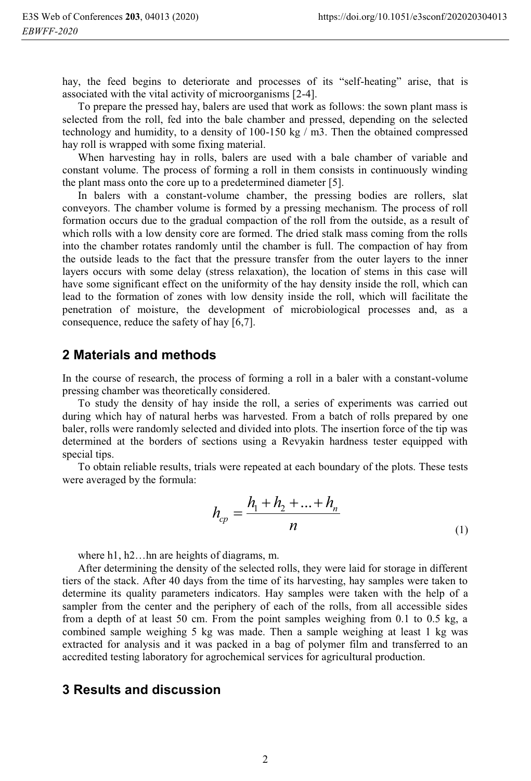hay, the feed begins to deteriorate and processes of its "self-heating" arise, that is associated with the vital activity of microorganisms [2-4].

To prepare the pressed hay, balers are used that work as follows: the sown plant mass is selected from the roll, fed into the bale chamber and pressed, depending on the selected technology and humidity, to a density of 100-150 kg / m3. Then the obtained compressed hay roll is wrapped with some fixing material.

When harvesting hay in rolls, balers are used with a bale chamber of variable and constant volume. The process of forming a roll in them consists in continuously winding the plant mass onto the core up to a predetermined diameter [5].

In balers with a constant-volume chamber, the pressing bodies are rollers, slat conveyors. The chamber volume is formed by a pressing mechanism. The process of roll formation occurs due to the gradual compaction of the roll from the outside, as a result of which rolls with a low density core are formed. The dried stalk mass coming from the rolls into the chamber rotates randomly until the chamber is full. The compaction of hay from the outside leads to the fact that the pressure transfer from the outer layers to the inner layers occurs with some delay (stress relaxation), the location of stems in this case will have some significant effect on the uniformity of the hay density inside the roll, which can lead to the formation of zones with low density inside the roll, which will facilitate the penetration of moisture, the development of microbiological processes and, as a consequence, reduce the safety of hay [6,7].

#### **2 Materials and methods**

In the course of research, the process of forming a roll in a baler with a constant-volume pressing chamber was theoretically considered.

To study the density of hay inside the roll, a series of experiments was carried out during which hay of natural herbs was harvested. From a batch of rolls prepared by one baler, rolls were randomly selected and divided into plots. The insertion force of the tip was determined at the borders of sections using a Revyakin hardness tester equipped with special tips.

To obtain reliable results, trials were repeated at each boundary of the plots. These tests were averaged by the formula:

$$
h_{cp} = \frac{h_1 + h_2 + \dots + h_n}{n}
$$
 (1)

where h1, h2...hn are heights of diagrams, m.

After determining the density of the selected rolls, they were laid for storage in different tiers of the stack. After 40 days from the time of its harvesting, hay samples were taken to determine its quality parameters indicators. Hay samples were taken with the help of a sampler from the center and the periphery of each of the rolls, from all accessible sides from a depth of at least 50 cm. From the point samples weighing from 0.1 to 0.5 kg, a combined sample weighing 5 kg was made. Then a sample weighing at least 1 kg was extracted for analysis and it was packed in a bag of polymer film and transferred to an accredited testing laboratory for agrochemical services for agricultural production.

### **3 Results and discussion**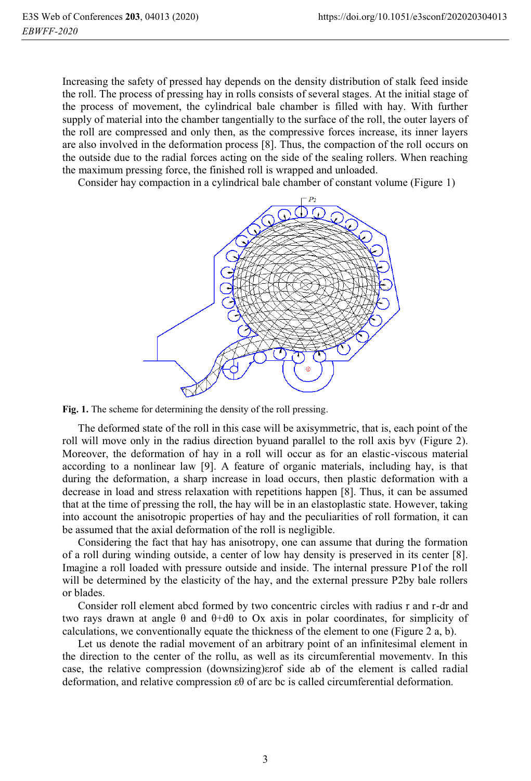Increasing the safety of pressed hay depends on the density distribution of stalk feed inside the roll. The process of pressing hay in rolls consists of several stages. At the initial stage of the process of movement, the cylindrical bale chamber is filled with hay. With further supply of material into the chamber tangentially to the surface of the roll, the outer layers of the roll are compressed and only then, as the compressive forces increase, its inner layers are also involved in the deformation process [8]. Thus, the compaction of the roll occurs on the outside due to the radial forces acting on the side of the sealing rollers. When reaching the maximum pressing force, the finished roll is wrapped and unloaded.

Consider hay compaction in a cylindrical bale chamber of constant volume (Figure 1)



**Fig. 1.** The scheme for determining the density of the roll pressing.

The deformed state of the roll in this case will be axisymmetric, that is, each point of the roll will move only in the radius direction byuand parallel to the roll axis byv (Figure 2). Moreover, the deformation of hay in a roll will occur as for an elastic-viscous material according to a nonlinear law [9]. A feature of organic materials, including hay, is that during the deformation, a sharp increase in load occurs, then plastic deformation with a decrease in load and stress relaxation with repetitions happen [8]. Thus, it can be assumed that at the time of pressing the roll, the hay will be in an elastoplastic state. However, taking into account the anisotropic properties of hay and the peculiarities of roll formation, it can be assumed that the axial deformation of the roll is negligible.

Considering the fact that hay has anisotropy, one can assume that during the formation of a roll during winding outside, a center of low hay density is preserved in its center [8]. Imagine a roll loaded with pressure outside and inside. The internal pressure P1of the roll will be determined by the elasticity of the hay, and the external pressure P2by bale rollers or blades.

Consider roll element abcd formed by two concentric circles with radius r and r-dr and two rays drawn at angle  $\theta$  and  $\theta$ +d $\theta$  to Ox axis in polar coordinates, for simplicity of calculations, we conventionally equate the thickness of the element to one (Figure 2 a, b).

Let us denote the radial movement of an arbitrary point of an infinitesimal element in the direction to the center of the rollu, as well as its circumferential movementv. In this case, the relative compression (downsizing)εrof side ab of the element is called radial deformation, and relative compression εθ of arc bc is called circumferential deformation.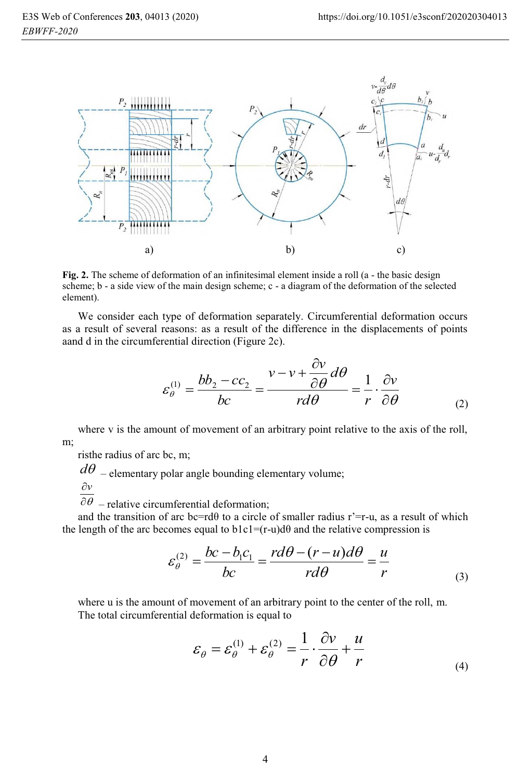

**Fig. 2.** The scheme of deformation of an infinitesimal element inside a roll (a - the basic design scheme; b - a side view of the main design scheme; c - a diagram of the deformation of the selected element).

We consider each type of deformation separately. Circumferential deformation occurs as a result of several reasons: as a result of the difference in the displacements of points aand d in the circumferential direction (Figure 2c).

$$
\varepsilon_{\theta}^{(1)} = \frac{bb_2 - cc_2}{bc} = \frac{v - v + \frac{\partial v}{\partial \theta} d\theta}{r d\theta} = \frac{1}{r} \cdot \frac{\partial v}{\partial \theta}
$$
(2)

where v is the amount of movement of an arbitrary point relative to the axis of the roll, m;

risthe radius of arc bc, m;

 $d\theta$  – elementary polar angle bounding elementary volume;

$$
\frac{\partial \nu}{\partial x}
$$

 $\overline{\partial \theta}$  – relative circumferential deformation;

and the transition of arc bc=rd $\theta$  to a circle of smaller radius r'=r-u, as a result of which the length of the arc becomes equal to  $b1c1=(r-u)d\theta$  and the relative compression is

$$
\varepsilon_{\theta}^{(2)} = \frac{bc - b_1 c_1}{bc} = \frac{rd\theta - (r - u)d\theta}{rd\theta} = \frac{u}{r}
$$
\n(3)

where u is the amount of movement of an arbitrary point to the center of the roll, m. The total circumferential deformation is equal to

$$
\varepsilon_{\theta} = \varepsilon_{\theta}^{(1)} + \varepsilon_{\theta}^{(2)} = \frac{1}{r} \cdot \frac{\partial v}{\partial \theta} + \frac{u}{r}
$$
 (4)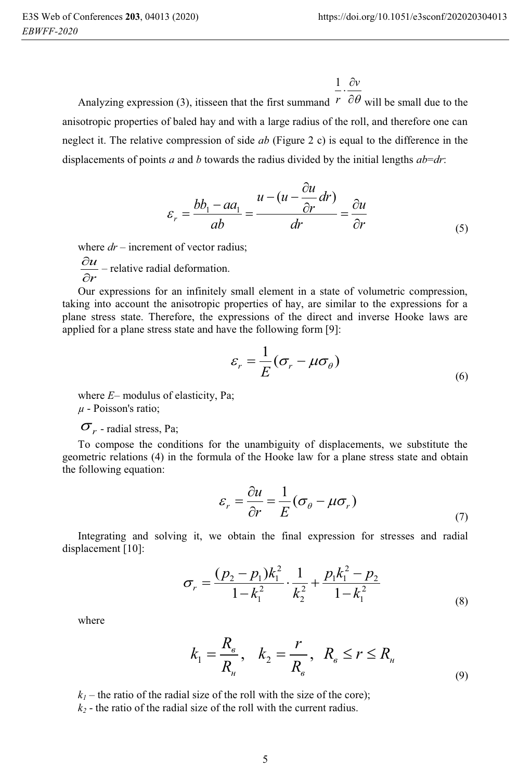$1 \partial v$ .

Analyzing expression (3), itisseen that the first summand  $r \partial \theta$  will be small due to the anisotropic properties of baled hay and with a large radius of the roll, and therefore one can neglect it. The relative compression of side *ab* (Figure 2 с) is equal to the difference in the displacements of points *a* and *b* towards the radius divided by the initial lengths  $ab = dr$ :  $\partial$ 

$$
\varepsilon_r = \frac{bb_1 - aa_1}{ab} = \frac{u - (u - \frac{\partial u}{\partial r} dr)}{dr} = \frac{\partial u}{\partial r}
$$
(5)

where  $dr$  – increment of vector radius;

 $\frac{\partial u}{\partial r}$  – relative radial deformation. *u*  $\frac{1}{\partial}$  $\stackrel{.}{\partial}$ 

Our expressions for an infinitely small element in a state of volumetric compression, taking into account the anisotropic properties of hay, are similar to the expressions for a plane stress state. Therefore, the expressions of the direct and inverse Hooke laws are applied for a plane stress state and have the following form [9]:

$$
\varepsilon_r = \frac{1}{E} (\sigma_r - \mu \sigma_\theta)
$$
\n(6)

where *E*– modulus of elasticity, Pa; *μ* - Poisson's ratio;

#### $\sigma_r$  - radial stress, Pa;

To compose the conditions for the unambiguity of displacements, we substitute the geometric relations (4) in the formula of the Hooke law for a plane stress state and obtain the following equation:

$$
\varepsilon_r = \frac{\partial u}{\partial r} = \frac{1}{E} (\sigma_\theta - \mu \sigma_r)
$$
\n(7)

Integrating and solving it, we obtain the final expression for stresses and radial displacement [10]:

$$
\sigma_r = \frac{(p_2 - p_1)k_1^2}{1 - k_1^2} \cdot \frac{1}{k_2^2} + \frac{p_1 k_1^2 - p_2}{1 - k_1^2}
$$
\n(8)

where

$$
k_1 = \frac{R_{\scriptscriptstyle{\theta}}}{R_{\scriptscriptstyle{\mu}}}, \quad k_2 = \frac{r}{R_{\scriptscriptstyle{\theta}}}, \quad R_{\scriptscriptstyle{\theta}} \le r \le R_{\scriptscriptstyle{\mu}} \tag{9}
$$

 $k_1$  – the ratio of the radial size of the roll with the size of the core);

 $k_2$  - the ratio of the radial size of the roll with the current radius.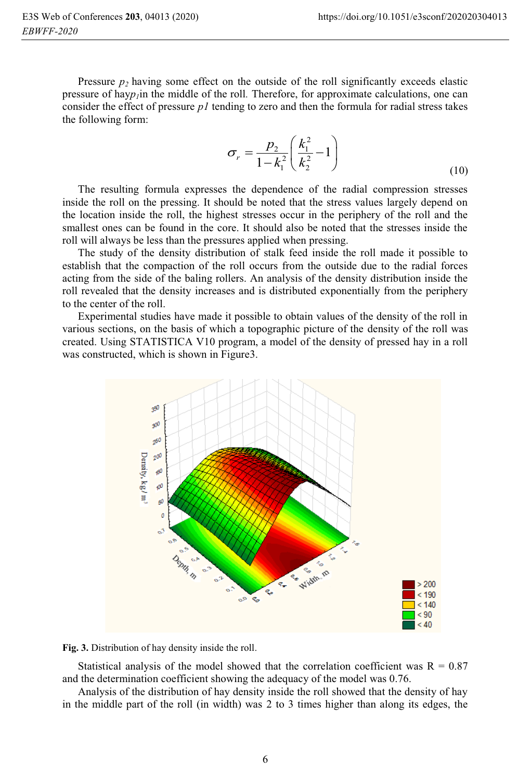Pressure  $p_2$  having some effect on the outside of the roll significantly exceeds elastic pressure of hay*p1*in the middle of the roll*.* Therefore, for approximate calculations, one can consider the effect of pressure *p1* tending to zero and then the formula for radial stress takes the following form:

$$
\sigma_r = \frac{p_2}{1 - k_1^2} \left( \frac{k_1^2}{k_2^2} - 1 \right)
$$
\n(10)

The resulting formula expresses the dependence of the radial compression stresses inside the roll on the pressing. It should be noted that the stress values largely depend on the location inside the roll, the highest stresses occur in the periphery of the roll and the smallest ones can be found in the core. It should also be noted that the stresses inside the roll will always be less than the pressures applied when pressing.

The study of the density distribution of stalk feed inside the roll made it possible to establish that the compaction of the roll occurs from the outside due to the radial forces acting from the side of the baling rollers. An analysis of the density distribution inside the roll revealed that the density increases and is distributed exponentially from the periphery to the center of the roll.

Experimental studies have made it possible to obtain values of the density of the roll in various sections, on the basis of which a topographic picture of the density of the roll was created. Using STATISTICA V10 program, a model of the density of pressed hay in a roll was constructed, which is shown in Figure3.



**Fig. 3.** Distribution of hay density inside the roll.

Statistical analysis of the model showed that the correlation coefficient was  $R = 0.87$ and the determination coefficient showing the adequacy of the model was 0.76.

Analysis of the distribution of hay density inside the roll showed that the density of hay in the middle part of the roll (in width) was 2 to 3 times higher than along its edges, the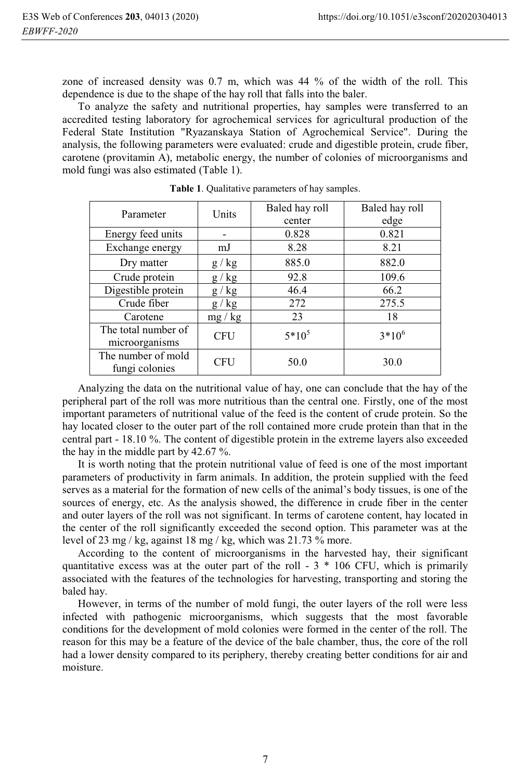zone of increased density was 0.7 m, which was 44 % of the width of the roll. This dependence is due to the shape of the hay roll that falls into the baler.

To analyze the safety and nutritional properties, hay samples were transferred to an accredited testing laboratory for agrochemical services for agricultural production of the Federal State Institution "Ryazanskaya Station of Agrochemical Service". During the analysis, the following parameters were evaluated: crude and digestible protein, crude fiber, carotene (provitamin A), metabolic energy, the number of colonies of microorganisms and mold fungi was also estimated (Table 1).

| Parameter           | Units      | Baled hay roll | Baled hay roll |
|---------------------|------------|----------------|----------------|
|                     |            | center         | edge           |
| Energy feed units   |            | 0.828          | 0.821          |
| Exchange energy     | mJ         | 8.28           | 8.21           |
| Dry matter          | g / kg     | 885.0          | 882.0          |
| Crude protein       | g / kg     | 92.8           | 109.6          |
| Digestible protein  | g / kg     | 46.4           | 66.2           |
| Crude fiber         | g / kg     | 272            | 275.5          |
| Carotene            | mg/kg      | 23             | 18             |
| The total number of | <b>CFU</b> | $5*10^5$       | $3*10^6$       |
| microorganisms      |            |                |                |
| The number of mold  | <b>CFU</b> | 50.0           | 30.0           |
| fungi colonies      |            |                |                |

**Table 1**. Qualitative parameters of hay samples.

Analyzing the data on the nutritional value of hay, one can conclude that the hay of the peripheral part of the roll was more nutritious than the central one. Firstly, one of the most important parameters of nutritional value of the feed is the content of crude protein. So the hay located closer to the outer part of the roll contained more crude protein than that in the central part - 18.10 %. The content of digestible protein in the extreme layers also exceeded the hay in the middle part by 42.67 %.

It is worth noting that the protein nutritional value of feed is one of the most important parameters of productivity in farm animals. In addition, the protein supplied with the feed serves as a material for the formation of new cells of the animal's body tissues, is one of the sources of energy, etc. As the analysis showed, the difference in crude fiber in the center and outer layers of the roll was not significant. In terms of carotene content, hay located in the center of the roll significantly exceeded the second option. This parameter was at the level of 23 mg / kg, against 18 mg / kg, which was 21.73  $\%$  more.

According to the content of microorganisms in the harvested hay, their significant quantitative excess was at the outer part of the roll -  $3 * 106$  CFU, which is primarily associated with the features of the technologies for harvesting, transporting and storing the baled hay.

However, in terms of the number of mold fungi, the outer layers of the roll were less infected with pathogenic microorganisms, which suggests that the most favorable conditions for the development of mold colonies were formed in the center of the roll. The reason for this may be a feature of the device of the bale chamber, thus, the core of the roll had a lower density compared to its periphery, thereby creating better conditions for air and moisture.